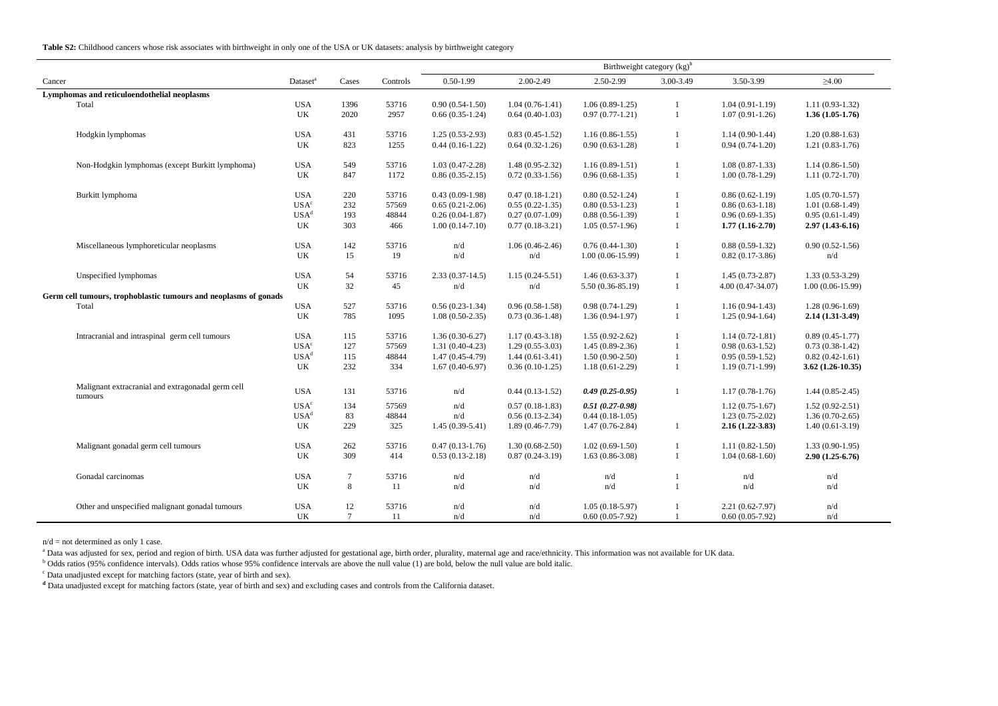**Table S2:** Childhood cancers whose risk associates with birthweight in only one of the USA or UK datasets: analysis by birthweight category

|                                                                  |                                                   |                      |        |          | Birthweight category (kg) <sup>b</sup> |                     |                     |              |                                                        |                     |
|------------------------------------------------------------------|---------------------------------------------------|----------------------|--------|----------|----------------------------------------|---------------------|---------------------|--------------|--------------------------------------------------------|---------------------|
| Cancer                                                           |                                                   | Dataset <sup>a</sup> | Cases  | Controls | $0.50 - 1.99$                          | 2.00-2.49           | 2.50-2.99           | 3.00-3.49    | 3.50-3.99                                              | $\geq 4.00$         |
| Lymphomas and reticuloendothelial neoplasms                      |                                                   |                      |        |          |                                        |                     |                     |              |                                                        |                     |
|                                                                  | Total                                             | <b>USA</b>           | 1396   | 53716    | $0.90(0.54-1.50)$                      | $1.04(0.76-1.41)$   | $1.06(0.89-1.25)$   |              | $1.04(0.91-1.19)$                                      | $1.11(0.93-1.32)$   |
|                                                                  |                                                   | UK                   | 2020   | 2957     | $0.66(0.35-1.24)$                      | $0.64(0.40-1.03)$   | $0.97(0.77-1.21)$   | 1            | $1.07(0.91-1.26)$                                      | $1.36(1.05-1.76)$   |
|                                                                  | Hodgkin lymphomas                                 | <b>USA</b>           | 431    | 53716    | $1.25(0.53-2.93)$                      | $0.83(0.45-1.52)$   | $1.16(0.86-1.55)$   | 1            | $1.14(0.90-1.44)$                                      | $1.20(0.88-1.63)$   |
|                                                                  |                                                   | UK                   | 823    | 1255     | $0.44(0.16-1.22)$                      | $0.64(0.32-1.26)$   | $0.90(0.63-1.28)$   | 1            | $0.94(0.74-1.20)$                                      | $1.21(0.83-1.76)$   |
|                                                                  | Non-Hodgkin lymphomas (except Burkitt lymphoma)   | <b>USA</b>           | 549    | 53716    | $1.03(0.47-2.28)$                      | $1.48(0.95-2.32)$   | $1.16(0.89-1.51)$   | 1            | $1.08(0.87-1.33)$                                      | $1.14(0.86-1.50)$   |
|                                                                  |                                                   | UK                   | 847    | 1172     | $0.86(0.35-2.15)$                      | $0.72(0.33-1.56)$   | $0.96(0.68-1.35)$   | $\mathbf{1}$ | $1.00(0.78-1.29)$                                      | $1.11(0.72-1.70)$   |
|                                                                  | Burkitt lymphoma                                  | <b>USA</b>           | 220    | 53716    | $0.43(0.09-1.98)$                      | $0.47(0.18-1.21)$   | $0.80(0.52-1.24)$   | 1            | $0.86(0.62-1.19)$                                      | $1.05(0.70-1.57)$   |
|                                                                  |                                                   | USA <sup>c</sup>     | 232    | 57569    | $0.65(0.21-2.06)$                      | $0.55(0.22 - 1.35)$ | $0.80(0.53-1.23)$   | $\mathbf{1}$ | $0.86(0.63-1.18)$                                      | $1.01(0.68-1.49)$   |
|                                                                  |                                                   | USA <sup>d</sup>     | 193    | 48844    | $0.26(0.04-1.87)$                      | $0.27(0.07-1.09)$   | $0.88(0.56-1.39)$   | $\mathbf{1}$ | $0.96(0.69-1.35)$                                      | $0.95(0.61-1.49)$   |
|                                                                  |                                                   | UK                   | 303    | 466      | $1.00(0.14-7.10)$                      | $0.77(0.18-3.21)$   | $1.05(0.57-1.96)$   | $\mathbf{1}$ | $1.77(1.16-2.70)$                                      | $2.97(1.43-6.16)$   |
|                                                                  | Miscellaneous lymphoreticular neoplasms           | <b>USA</b>           | 142    | 53716    | n/d                                    | $1.06(0.46-2.46)$   | $0.76(0.44-1.30)$   | 1            | $0.88(0.59-1.32)$                                      | $0.90(0.52-1.56)$   |
|                                                                  |                                                   | UK                   | 15     | 19       | n/d                                    | n/d                 | $1.00(0.06-15.99)$  | 1            | $0.82(0.17-3.86)$                                      | n/d                 |
|                                                                  | Unspecified lymphomas                             | <b>USA</b>           | 54     | 53716    | $2.33(0.37-14.5)$                      | $1.15(0.24 - 5.51)$ | $1.46(0.63-3.37)$   | 1            | $1.45(0.73-2.87)$                                      | $1.33(0.53-3.29)$   |
|                                                                  |                                                   | UK                   | 32     | 45       | n/d                                    | n/d                 | 5.50 (0.36-85.19)   | $\mathbf{1}$ | $4.00(0.47-34.07)$                                     | $1.00(0.06-15.99)$  |
| Germ cell tumours, trophoblastic tumours and neoplasms of gonads |                                                   |                      |        |          |                                        |                     |                     |              |                                                        |                     |
|                                                                  | Total                                             | <b>USA</b>           | 527    | 53716    | $0.56(0.23-1.34)$                      | $0.96(0.58-1.58)$   | $0.98(0.74-1.29)$   | $\mathbf{1}$ | $1.16(0.94-1.43)$                                      | $1.28(0.96-1.69)$   |
|                                                                  |                                                   | UK                   | 785    | 1095     | $1.08(0.50-2.35)$                      | $0.73(0.36-1.48)$   | $1.36(0.94-1.97)$   | $\mathbf{1}$ | $1.25(0.94-1.64)$                                      | $2.14(1.31-3.49)$   |
|                                                                  | Intracranial and intraspinal germ cell tumours    | <b>USA</b>           | 115    | 53716    | $1.36(0.30-6.27)$                      | $1.17(0.43-3.18)$   | $1.55(0.92 - 2.62)$ | 1            | $1.14(0.72 - 1.81)$                                    | $0.89(0.45-1.77)$   |
|                                                                  |                                                   | USA <sup>c</sup>     | 127    | 57569    | $1.31(0.40-4.23)$                      | $1.29(0.55-3.03)$   | $1.45(0.89-2.36)$   | $\mathbf{1}$ | $0.98(0.63-1.52)$                                      | $0.73(0.38-1.42)$   |
|                                                                  |                                                   | USA <sup>d</sup>     | 115    | 48844    | $1.47(0.45-4.79)$                      | $1.44(0.61-3.41)$   | $1.50(0.90-2.50)$   | $\mathbf{1}$ | $0.95(0.59-1.52)$                                      | $0.82(0.42 - 1.61)$ |
|                                                                  |                                                   | UK                   | 232    | 334      | $1.67(0.40-6.97)$                      | $0.36(0.10-1.25)$   | $1.18(0.61-2.29)$   | 1            | $1.19(0.71-1.99)$                                      | $3.62(1.26-10.35)$  |
|                                                                  | Malignant extracranial and extragonadal germ cell |                      |        |          |                                        |                     |                     |              |                                                        |                     |
|                                                                  | tumours                                           | <b>USA</b>           | 131    | 53716    | n/d                                    | $0.44(0.13-1.52)$   | $0.49(0.25-0.95)$   | 1            | $1.17(0.78-1.76)$                                      | $1.44(0.85-2.45)$   |
|                                                                  |                                                   | USA <sup>c</sup>     | 134    | 57569    | n/d                                    | $0.57(0.18-1.83)$   | $0.51(0.27-0.98)$   |              | $1.12(0.75-1.67)$                                      | $1.52(0.92 - 2.51)$ |
|                                                                  |                                                   | USA <sup>d</sup>     | 83     | 48844    | n/d                                    | $0.56(0.13-2.34)$   | $0.44(0.18-1.05)$   |              | $1.23(0.75-2.02)$                                      | $1.36(0.70-2.65)$   |
|                                                                  |                                                   | UK                   | 229    | 325      | $1.45(0.39-5.41)$                      | $1.89(0.46-7.79)$   | $1.47(0.76-2.84)$   | 1            | $2.16(1.22 - 3.83)$                                    | $1.40(0.61-3.19)$   |
|                                                                  | Malignant gonadal germ cell tumours               | <b>USA</b>           | 262    | 53716    | $0.47(0.13-1.76)$                      | $1.30(0.68-2.50)$   | $1.02(0.69-1.50)$   |              | $1.11(0.82 - 1.50)$                                    | $1.33(0.90-1.95)$   |
|                                                                  |                                                   | UK                   | 309    | 414      | $0.53(0.13-2.18)$                      | $0.87(0.24 - 3.19)$ | $1.63(0.86-3.08)$   | $\mathbf{1}$ | $1.04(0.68-1.60)$                                      | $2.90(1.25-6.76)$   |
|                                                                  | Gonadal carcinomas                                | <b>USA</b>           | $\tau$ | 53716    | n/d                                    | n/d                 | n/d                 |              | $\ensuremath{\mathrm{n}}\slash\ensuremath{\mathrm{d}}$ | n/d                 |
|                                                                  |                                                   | UK                   | 8      | 11       | n/d                                    | n/d                 | n/d                 | 1            | n/d                                                    | n/d                 |
|                                                                  | Other and unspecified malignant gonadal tumours   | <b>USA</b>           | 12     | 53716    | n/d                                    | n/d                 | $1.05(0.18-5.97)$   |              | $2.21(0.62 - 7.97)$                                    | n/d                 |
|                                                                  |                                                   | UK                   | $\tau$ | 11       | n/d                                    | n/d                 | $0.60(0.05-7.92)$   | 1            | $0.60(0.05-7.92)$                                      | n/d                 |

 $n/d$  = not determined as only 1 case.

<sup>a</sup> Data was adjusted for sex, period and region of birth. USA data was further adjusted for gestational age, birth order, plurality, maternal age and race/ethnicity. This information was not available for UK data.<br><sup>b</sup> Odd

<sup>c</sup> Data unadjusted except for matching factors (state, year of birth and sex).

<sup>d</sup> Data unadjusted except for matching factors (state, year of birth and sex) and excluding cases and controls from the California dataset.